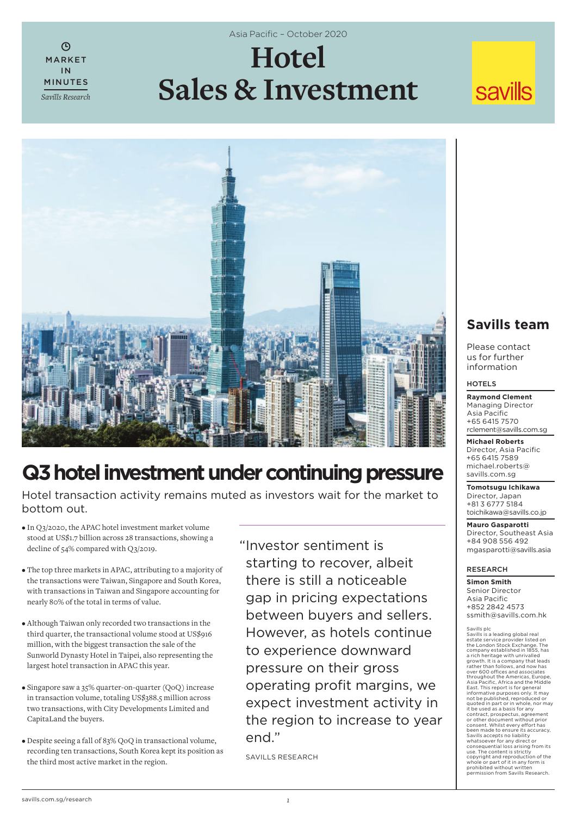$\mathcal{L}$ MARKET IN MINUTES *Savills Research* Asia Pacific - October 2020

# **Hotel Sales & Investment**

## **savills**



### **Q3 hotel investment under continuing pressure**

Hotel transaction activity remains muted as investors wait for the market to bottom out.

- In Q3/2020, the APAC hotel investment market volume stood at US\$1.7 billion across 28 transactions, showing a decline of 54% compared with Q3/2019.
- The top three markets in APAC, attributing to a majority of the transactions were Taiwan, Singapore and South Korea, with transactions in Taiwan and Singapore accounting for nearly 80% of the total in terms of value.
- Although Taiwan only recorded two transactions in the third quarter, the transactional volume stood at US\$916 million, with the biggest transaction the sale of the Sunworld Dynasty Hotel in Taipei, also representing the largest hotel transaction in APAC this year.
- Singapore saw a 35% quarter-on-quarter (QoQ) increase in transaction volume, totaling US\$388.5 million across two transactions, with City Developments Limited and CapitaLand the buyers.
- Despite seeing a fall of 83% QoQ in transactional volume, recording ten transactions, South Korea kept its position as the third most active market in the region.

" Investor sentiment is starting to recover, albeit there is still a noticeable gap in pricing expectations between buyers and sellers. However, as hotels continue to experience downward pressure on their gross operating profit margins, we expect investment activity in the region to increase to year end"

SAVILLS RESEARCH

### **Savills team**

Please contact us for further information

#### HOTELS

**Raymond Clement** Managing Director Asia Pacific +65 6415 7570 rclement@savills.com.sg

**Michael Roberts** Director, Asia Pacific +65 6415 7589 michael.roberts@ savills.com.sg

**Tomotsugu Ichikawa** Director, Japan +81 3 6777 5184 toichikawa@savills.co.jp

**Mauro Gasparotti** Director, Southeast Asia +84 908 556 492 mgasparotti@savills.asia

#### RESEARCH

**Simon Smith** Senior Director Asia Pacific +852 2842 4573 ssmith@savills.com.hk

#### Savills plc<br>Savills is a leading global real

Savills is a leading global real<br>estate service provider listed on<br>the London Stock Exchange. The<br>a company established in 1855, has<br>a rich heritage with unrivalled<br>a growth. It is a company that leads<br>rather than follows, or other document without prior<br>consent. Whilst every effort has<br>been made to ensure its accuracy,<br>Savills accepts no liability<br>whatsoever for any direct or consequential loss arising from its use. The content is strictly copyright and reproduction of the whole or part of it in any form is prohibited without written permission from Savills Research.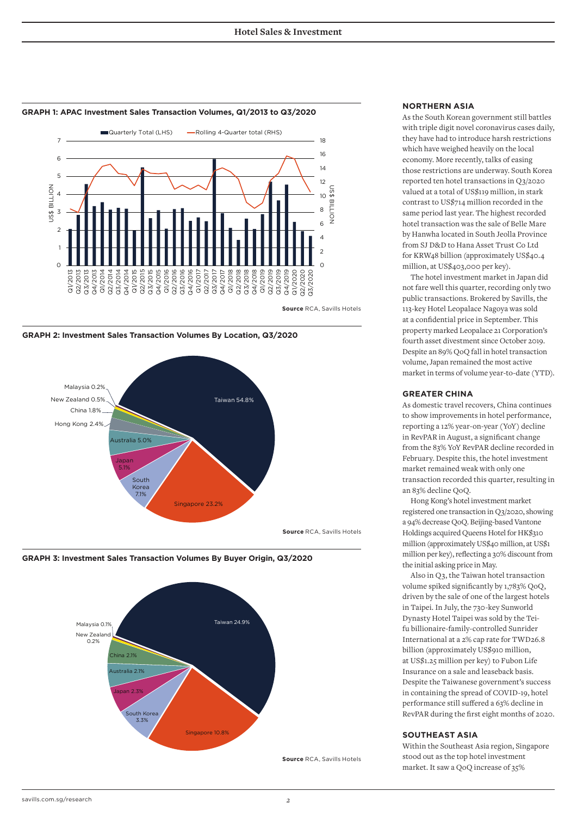

#### **GRAPH 1: APAC Investment Sales Transaction Volumes, Q1/2013 to Q3/2020**



**GRAPH 2: Investment Sales Transaction Volumes By Location, Q3/2020**



**GRAPH 3: Investment Sales Transaction Volumes By Buyer Origin, Q3/2020**



#### **NORTHERN ASIA**

As the South Korean government still battles with triple digit novel coronavirus cases daily, they have had to introduce harsh restrictions which have weighed heavily on the local economy. More recently, talks of easing those restrictions are underway. South Korea reported ten hotel transactions in Q3/2020 valued at a total of US\$119 million, in stark contrast to US\$714 million recorded in the same period last year. The highest recorded hotel transaction was the sale of Belle Mare by Hanwha located in South Jeolla Province from SJ D&D to Hana Asset Trust Co Ltd for KRW48 billion (approximately US\$40.4 million, at US\$403,000 per key).

The hotel investment market in Japan did not fare well this quarter, recording only two public transactions. Brokered by Savills, the 113-key Hotel Leopalace Nagoya was sold at a confidential price in September. This property marked Leopalace 21 Corporation's fourth asset divestment since October 2019. Despite an 89% QoQ fall in hotel transaction volume, Japan remained the most active market in terms of volume year-to-date (YTD).

#### **GREATER CHINA**

As domestic travel recovers, China continues to show improvements in hotel performance, reporting a 12% year-on-year (YoY) decline in RevPAR in August, a significant change from the 83% YoY RevPAR decline recorded in February. Despite this, the hotel investment market remained weak with only one transaction recorded this quarter, resulting in an 83% decline QoQ.

Hong Kong's hotel investment market registered one transaction in Q3/2020, showing a 94% decrease QoQ. Beijing-based Vantone Holdings acquired Queens Hotel for HK\$310 million (approximately US\$40 million, at US\$1 million per key), reflecting a 30% discount from the initial asking price in May.

Also in Q3, the Taiwan hotel transaction volume spiked significantly by 1,783% QoQ, driven by the sale of one of the largest hotels in Taipei. In July, the 730-key Sunworld Dynasty Hotel Taipei was sold by the Teifu billionaire-family-controlled Sunrider International at a 2% cap rate for TWD26.8 billion (approximately US\$910 million, at US\$1.25 million per key) to Fubon Life Insurance on a sale and leaseback basis. Despite the Taiwanese government's success in containing the spread of COVID-19, hotel performance still suffered a 63% decline in RevPAR during the first eight months of 2020.

#### **SOUTHEAST ASIA**

Within the Southeast Asia region, Singapore stood out as the top hotel investment market. It saw a QoQ increase of 35%